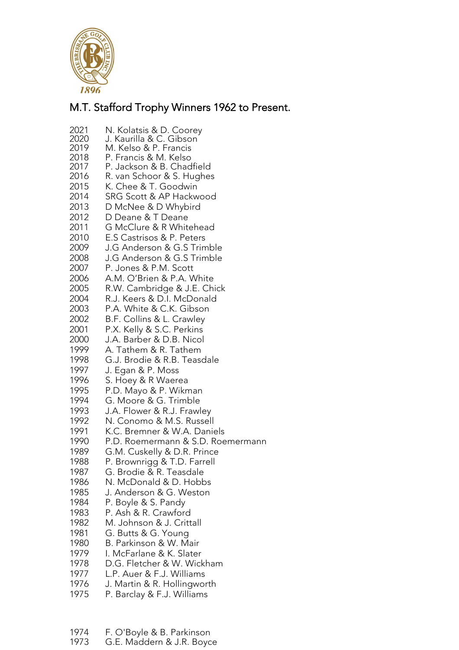

## M.T. Stafford Trophy Winners 1962 to Present.

- N. Kolatsis & D. Coorey
- J. Kaurilla & C. Gibson
- M. Kelso & P. Francis P. Francis & M. Kelso
- 2018<br>2017
- P. Jackson & B. Chadfield R. van Schoor & S. Hughes
- K. Chee & T. Goodwin
- 
- 2014 SRG Scott & AP Hackwood<br>2013 D McNee & D Whybird D McNee & D Whybird
- 2012 D Deane & T Deane
- G McClure & R Whitehead
- E.S Castrisos & P. Peters
- J.G Anderson & G.S Trimble
- J.G Anderson & G.S Trimble
- P. Jones & P.M. Scott
- A.M. O'Brien & P.A. White
- R.W. Cambridge & J.E. Chick
- R.J. Keers & D.I. McDonald
- P.A. White & C.K. Gibson
- B.F. Collins & L. Crawley
- P.X. Kelly & S.C. Perkins
- 
- J.A. Barber & D.B. Nicol A. Tathem & R. Tathem
- G.J. Brodie & R.B. Teasdale
- J. Egan & P. Moss
- S. Hoey & R Waerea
- P.D. Mayo & P. Wikman
- 1994 G. Moore & G. Trimble<br>1993 J.A. Flower & R.J. Frawl
- J.A. Flower & R.J. Frawley
- N. Conomo & M.S. Russell
- K.C. Bremner & W.A. Daniels
- P.D. Roemermann & S.D. Roemermann
- G.M. Cuskelly & D.R. Prince
- P. Brownrigg & T.D. Farrell
- 
- 1987 G. Brodie & R. Teasdale<br>1986 N. McDonald & D. Hobb N. McDonald & D. Hobbs
- J. Anderson & G. Weston
- P. Boyle & S. Pandy
- P. Ash & R. Crawford
- M. Johnson & J. Crittall
- G. Butts & G. Young
- 
- B. Parkinson & W. Mair I. McFarlane & K. Slater
- D.G. Fletcher & W. Wickham
- 
- L.P. Auer & F.J. Williams J. Martin & R. Hollingworth
- P. Barclay & F.J. Williams
- 
- F. O'Boyle & B. Parkinson G.E. Maddern & J.R. Boyce
-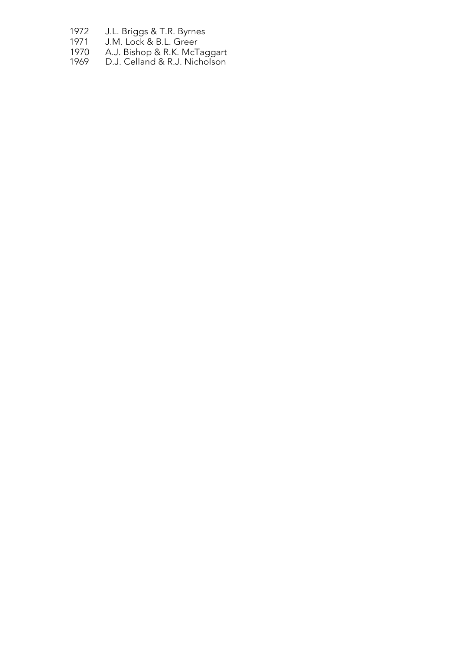- J.L. Briggs & T.R. Byrnes
- J.M. Lock & B.L. Greer
- A.J. Bishop & R.K. McTaggart
- D.J. Celland & R.J. Nicholson